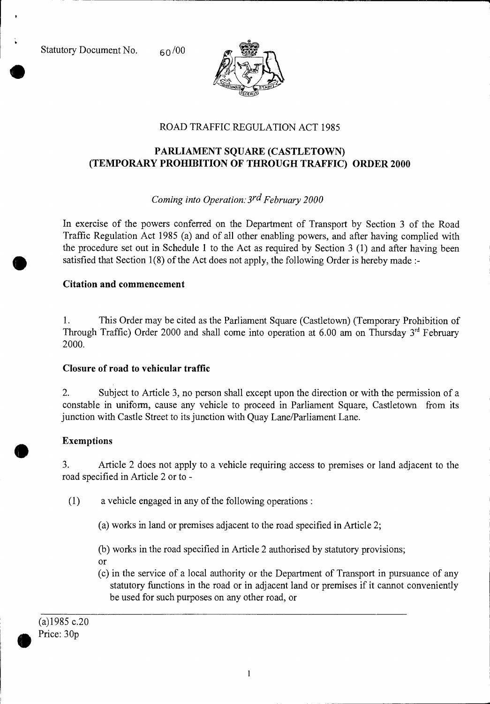Statutory Document No.  $60/00$ 



# ROAD TRAFFIC REGULATION ACT 1985

# **PARLIAMENT SQUARE (CASTLETOWN) (TEMPORARY PROHIBITION OF THROUGH TRAFFIC) ORDER 2000**

## *Coming into Operation: 3rd February 2000*

In exercise of the powers conferred on the Department of Transport by Section 3 of the Road Traffic Regulation Act 1985 (a) and of all other enabling powers, and after having complied with the procedure set out in Schedule 1 to the Act as required by Section 3 (1) and after having been satisfied that Section 1(8) of the Act does not apply, the following Order is hereby made :-

#### **Citation and commencement**

1. This Order may be cited as the Parliament Square (Castletown) (Temporary Prohibition of Through Traffic) Order 2000 and shall come into operation at 6.00 am on Thursday  $3<sup>rd</sup>$  February 2000.

## **Closure of road to vehicular traffic**

2. Subject to Article 3, no person shall except upon the direction or with the permission of a constable in uniform, cause any vehicle to proceed in Parliament Square, Castletown from its junction with Castle Street to its junction with Quay Lane/Parliament Lane.

## **Exemptions**

 $\bullet$ 

3. Article 2 does not apply to a vehicle requiring access to premises or land adjacent to the road specified in Article 2 or to -

- (1) a vehicle engaged in any of the following operations :
	- (a) works in land or premises adjacent to the road specified in Article 2;
	- (b) works in the road specified in Article 2 authorised by statutory provisions;
	- or
	- (c) in the service of a local authority or the Department of Transport in pursuance of any statutory functions in the road or in adjacent land or premises if it cannot conveniently be used for such purposes on any other road, or

(a)1985 c.20 Price: 30p